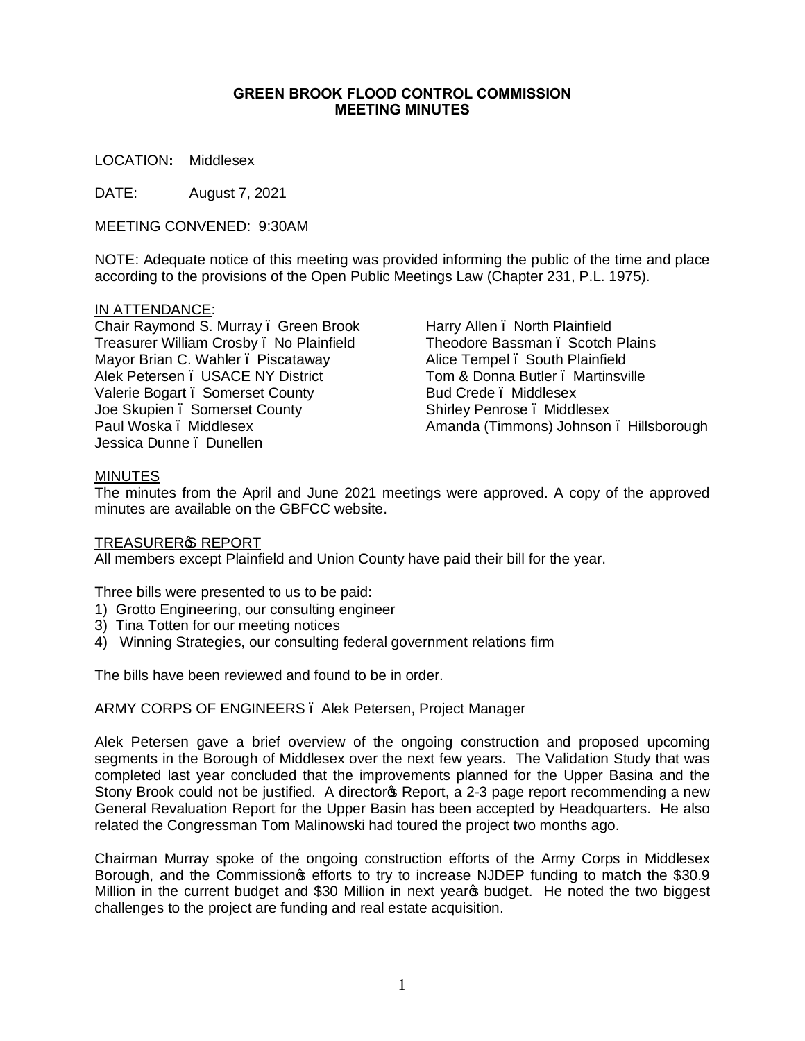## **GREEN BROOK FLOOD CONTROL COMMISSION MEETING MINUTES**

LOCATION**:** Middlesex

DATE: August 7, 2021

MEETING CONVENED: 9:30AM

NOTE: Adequate notice of this meeting was provided informing the public of the time and place according to the provisions of the Open Public Meetings Law (Chapter 231, P.L. 1975).

## IN ATTENDANCE:

Chair Raymond S. Murray – Green Brook Treasurer William Crosby – No Plainfield Mayor Brian C. Wahler . Piscataway Alek Petersen – USACE NY District Valerie Bogart . Somerset County Joe Skupien . Somerset County Paul Woska – Middlesex Jessica Dunne – Dunellen

Harry Allen – North Plainfield Theodore Bassman – Scotch Plains Alice Tempel . South Plainfield Tom & Donna Butler . Martinsville Bud Crede – Middlesex Shirley Penrose – Middlesex Amanda (Timmons) Johnson – Hillsborough

## **MINUTES**

The minutes from the April and June 2021 meetings were approved. A copy of the approved minutes are available on the GBFCC website.

#### TREASURER<sup>®</sup> REPORT

All members except Plainfield and Union County have paid their bill for the year.

Three bills were presented to us to be paid:

- 1) Grotto Engineering, our consulting engineer
- 3) Tina Totten for our meeting notices
- 4) Winning Strategies, our consulting federal government relations firm

The bills have been reviewed and found to be in order.

# ARMY CORPS OF ENGINEERS . Alek Petersen, Project Manager

Alek Petersen gave a brief overview of the ongoing construction and proposed upcoming segments in the Borough of Middlesex over the next few years. The Validation Study that was completed last year concluded that the improvements planned for the Upper Basina and the Stony Brook could not be justified. A director & Report, a 2-3 page report recommending a new General Revaluation Report for the Upper Basin has been accepted by Headquarters. He also related the Congressman Tom Malinowski had toured the project two months ago.

Chairman Murray spoke of the ongoing construction efforts of the Army Corps in Middlesex Borough, and the Commission sefforts to try to increase NJDEP funding to match the \$30.9 Million in the current budget and \$30 Million in next years budget. He noted the two biggest challenges to the project are funding and real estate acquisition.